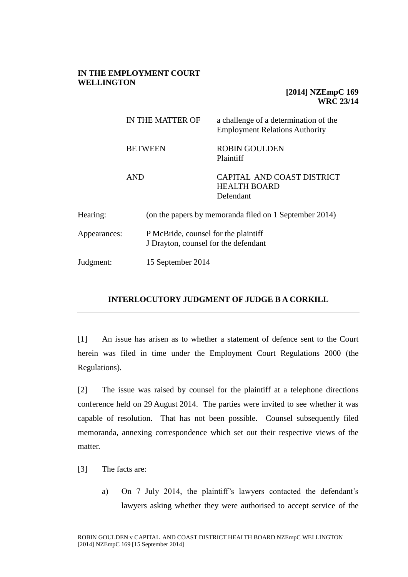## **IN THE EMPLOYMENT COURT WELLINGTON**

## **[2014] NZEmpC 169 WRC 23/14**

|              | IN THE MATTER OF  | a challenge of a determination of the<br><b>Employment Relations Authority</b> |  |
|--------------|-------------------|--------------------------------------------------------------------------------|--|
|              | <b>BETWEEN</b>    | <b>ROBIN GOULDEN</b><br>Plaintiff                                              |  |
|              | <b>AND</b>        | CAPITAL AND COAST DISTRICT<br><b>HEALTH BOARD</b><br>Defendant                 |  |
| Hearing:     |                   | (on the papers by memoranda filed on 1 September 2014)                         |  |
| Appearances: |                   | P McBride, counsel for the plaintiff<br>J Drayton, counsel for the defendant   |  |
| Judgment:    | 15 September 2014 |                                                                                |  |

## **INTERLOCUTORY JUDGMENT OF JUDGE B A CORKILL**

[1] An issue has arisen as to whether a statement of defence sent to the Court herein was filed in time under the Employment Court Regulations 2000 (the Regulations).

[2] The issue was raised by counsel for the plaintiff at a telephone directions conference held on 29 August 2014. The parties were invited to see whether it was capable of resolution. That has not been possible. Counsel subsequently filed memoranda, annexing correspondence which set out their respective views of the matter.

- [3] The facts are:
	- a) On 7 July 2014, the plaintiff's lawyers contacted the defendant's lawyers asking whether they were authorised to accept service of the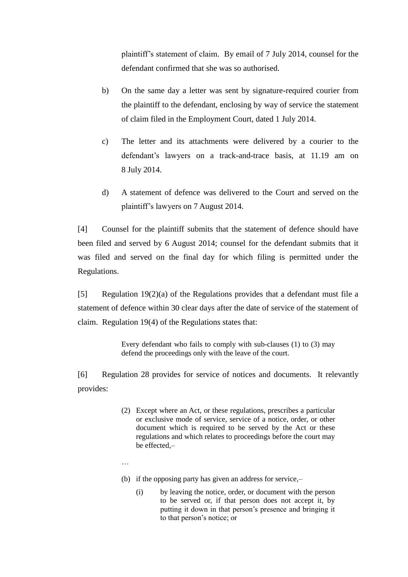plaintiff's statement of claim. By email of 7 July 2014, counsel for the defendant confirmed that she was so authorised.

- b) On the same day a letter was sent by signature-required courier from the plaintiff to the defendant, enclosing by way of service the statement of claim filed in the Employment Court, dated 1 July 2014.
- c) The letter and its attachments were delivered by a courier to the defendant's lawyers on a track-and-trace basis, at 11.19 am on 8 July 2014.
- d) A statement of defence was delivered to the Court and served on the plaintiff's lawyers on 7 August 2014.

[4] Counsel for the plaintiff submits that the statement of defence should have been filed and served by 6 August 2014; counsel for the defendant submits that it was filed and served on the final day for which filing is permitted under the Regulations.

[5] Regulation 19(2)(a) of the Regulations provides that a defendant must file a statement of defence within 30 clear days after the date of service of the statement of claim. Regulation 19(4) of the Regulations states that:

> Every defendant who fails to comply with sub-clauses (1) to (3) may defend the proceedings only with the leave of the court.

[6] Regulation 28 provides for service of notices and documents. It relevantly provides:

- (2) Except where an Act, or these regulations, prescribes a particular or exclusive mode of service, service of a notice, order, or other document which is required to be served by the Act or these regulations and which relates to proceedings before the court may be effected,–
- …
- (b) if the opposing party has given an address for service,–
	- (i) by leaving the notice, order, or document with the person to be served or, if that person does not accept it, by putting it down in that person's presence and bringing it to that person's notice; or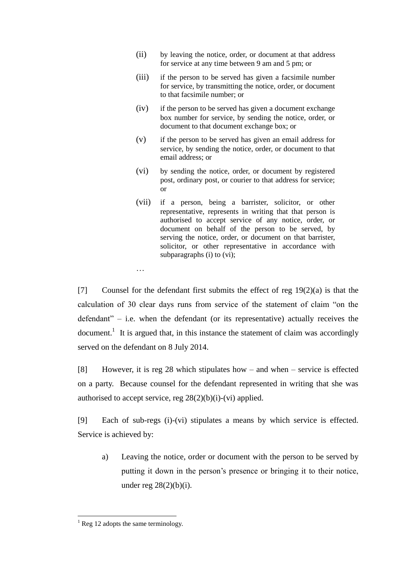- (ii) by leaving the notice, order, or document at that address for service at any time between 9 am and 5 pm; or
- (iii) if the person to be served has given a facsimile number for service, by transmitting the notice, order, or document to that facsimile number; or
- (iv) if the person to be served has given a document exchange box number for service, by sending the notice, order, or document to that document exchange box; or
- (v) if the person to be served has given an email address for service, by sending the notice, order, or document to that email address; or
- (vi) by sending the notice, order, or document by registered post, ordinary post, or courier to that address for service; or
- (vii) if a person, being a barrister, solicitor, or other representative, represents in writing that that person is authorised to accept service of any notice, order, or document on behalf of the person to be served, by serving the notice, order, or document on that barrister, solicitor, or other representative in accordance with subparagraphs (i) to (vi);

[7] Counsel for the defendant first submits the effect of reg  $19(2)(a)$  is that the calculation of 30 clear days runs from service of the statement of claim "on the defendant" – i.e. when the defendant (or its representative) actually receives the document.<sup>1</sup> It is argued that, in this instance the statement of claim was accordingly served on the defendant on 8 July 2014.

[8] However, it is reg 28 which stipulates how – and when – service is effected on a party. Because counsel for the defendant represented in writing that she was authorised to accept service, reg  $28(2)(b)(i)-(vi)$  applied.

[9] Each of sub-regs (i)-(vi) stipulates a means by which service is effected. Service is achieved by:

a) Leaving the notice, order or document with the person to be served by putting it down in the person's presence or bringing it to their notice, under reg  $28(2)(b)(i)$ .

 $\overline{a}$ 

…

 $<sup>1</sup>$  Reg 12 adopts the same terminology.</sup>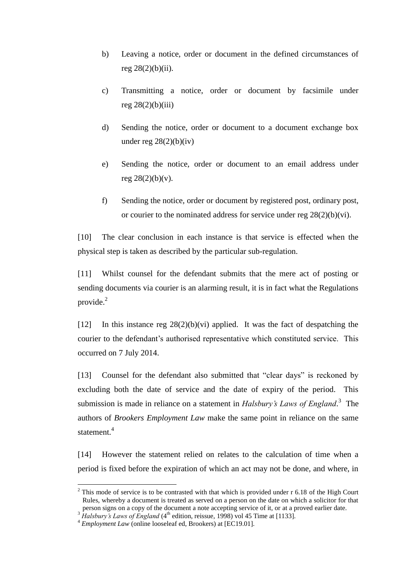- b) Leaving a notice, order or document in the defined circumstances of reg  $28(2)(b)(ii)$ .
- c) Transmitting a notice, order or document by facsimile under reg  $28(2)(b)(iii)$
- d) Sending the notice, order or document to a document exchange box under reg  $28(2)(b)(iv)$
- e) Sending the notice, order or document to an email address under reg  $28(2)(b)(v)$ .
- f) Sending the notice, order or document by registered post, ordinary post, or courier to the nominated address for service under reg  $28(2)(b)(vi)$ .

[10] The clear conclusion in each instance is that service is effected when the physical step is taken as described by the particular sub-regulation.

[11] Whilst counsel for the defendant submits that the mere act of posting or sending documents via courier is an alarming result, it is in fact what the Regulations provide. $^{2}$ 

[12] In this instance reg  $28(2)(b)(vi)$  applied. It was the fact of despatching the courier to the defendant's authorised representative which constituted service. This occurred on 7 July 2014.

[13] Counsel for the defendant also submitted that "clear days" is reckoned by excluding both the date of service and the date of expiry of the period. This submission is made in reliance on a statement in *Halsbury's Laws of England*. 3 The authors of *Brookers Employment Law* make the same point in reliance on the same statement. 4

[14] However the statement relied on relates to the calculation of time when a period is fixed before the expiration of which an act may not be done, and where, in

 $\overline{a}$ 

 $2$  This mode of service is to be contrasted with that which is provided under r 6.18 of the High Court Rules, whereby a document is treated as served on a person on the date on which a solicitor for that person signs on a copy of the document a note accepting service of it, or at a proved earlier date.

*Halsbury's Laws of England* (4<sup>th</sup> edition, reissue, 1998) vol 45 Time at [1133].

<sup>4</sup> *Employment Law* (online looseleaf ed, Brookers) at [EC19.01].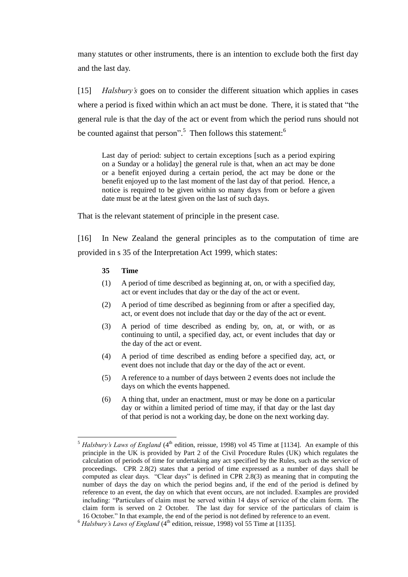many statutes or other instruments, there is an intention to exclude both the first day and the last day.

[15] *Halsbury's* goes on to consider the different situation which applies in cases where a period is fixed within which an act must be done. There, it is stated that "the general rule is that the day of the act or event from which the period runs should not be counted against that person".<sup>5</sup> Then follows this statement:<sup>6</sup>

Last day of period: subject to certain exceptions [such as a period expiring on a Sunday or a holiday] the general rule is that, when an act may be done or a benefit enjoyed during a certain period, the act may be done or the benefit enjoyed up to the last moment of the last day of that period. Hence, a notice is required to be given within so many days from or before a given date must be at the latest given on the last of such days.

That is the relevant statement of principle in the present case.

[16] In New Zealand the general principles as to the computation of time are provided in s 35 of the Interpretation Act 1999, which states:

## **35 Time**

 $\overline{a}$ 

- (1) A period of time described as beginning at, on, or with a specified day, act or event includes that day or the day of the act or event.
- (2) A period of time described as beginning from or after a specified day, act, or event does not include that day or the day of the act or event.
- (3) A period of time described as ending by, on, at, or with, or as continuing to until, a specified day, act, or event includes that day or the day of the act or event.
- (4) A period of time described as ending before a specified day, act, or event does not include that day or the day of the act or event.
- (5) A reference to a number of days between 2 events does not include the days on which the events happened.
- (6) A thing that, under an enactment, must or may be done on a particular day or within a limited period of time may, if that day or the last day of that period is not a working day, be done on the next working day.

*Halsbury's Laws of England* (4<sup>th</sup> edition, reissue, 1998) vol 45 Time at [1134]. An example of this principle in the UK is provided by Part 2 of the Civil Procedure Rules (UK) which regulates the calculation of periods of time for undertaking any act specified by the Rules, such as the service of proceedings. CPR 2.8(2) states that a period of time expressed as a number of days shall be computed as clear days. "Clear days" is defined in CPR 2.8(3) as meaning that in computing the number of days the day on which the period begins and, if the end of the period is defined by reference to an event, the day on which that event occurs, are not included. Examples are provided including: "Particulars of claim must be served within 14 days of service of the claim form. The claim form is served on 2 October. The last day for service of the particulars of claim is 16 October." In that example, the end of the period is not defined by reference to an event.

 $6$  *Halsbury's Laws of England* (4<sup>th</sup> edition, reissue, 1998) vol 55 Time at [1135].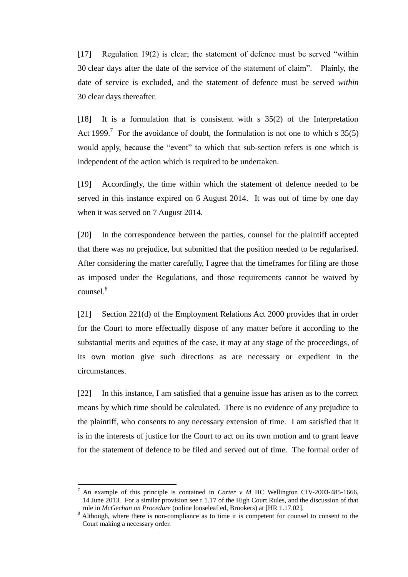[17] Regulation 19(2) is clear; the statement of defence must be served "within 30 clear days after the date of the service of the statement of claim". Plainly, the date of service is excluded, and the statement of defence must be served *within* 30 clear days thereafter.

[18] It is a formulation that is consistent with s 35(2) of the Interpretation Act 1999.<sup>7</sup> For the avoidance of doubt, the formulation is not one to which s  $35(5)$ would apply, because the "event" to which that sub-section refers is one which is independent of the action which is required to be undertaken.

[19] Accordingly, the time within which the statement of defence needed to be served in this instance expired on 6 August 2014. It was out of time by one day when it was served on 7 August 2014.

[20] In the correspondence between the parties, counsel for the plaintiff accepted that there was no prejudice, but submitted that the position needed to be regularised. After considering the matter carefully, I agree that the timeframes for filing are those as imposed under the Regulations, and those requirements cannot be waived by counsel. 8

[21] Section 221(d) of the Employment Relations Act 2000 provides that in order for the Court to more effectually dispose of any matter before it according to the substantial merits and equities of the case, it may at any stage of the proceedings, of its own motion give such directions as are necessary or expedient in the circumstances.

[22] In this instance, I am satisfied that a genuine issue has arisen as to the correct means by which time should be calculated. There is no evidence of any prejudice to the plaintiff, who consents to any necessary extension of time. I am satisfied that it is in the interests of justice for the Court to act on its own motion and to grant leave for the statement of defence to be filed and served out of time. The formal order of

 $\overline{a}$ 

<sup>7</sup> An example of this principle is contained in *Carter v M* HC Wellington CIV-2003-485-1666, 14 June 2013. For a similar provision see r 1.17 of the High Court Rules, and the discussion of that rule in *McGechan on Procedure* (online looseleaf ed, Brookers) at [HR 1.17.02].

<sup>8</sup> Although, where there is non-compliance as to time it is competent for counsel to consent to the Court making a necessary order.